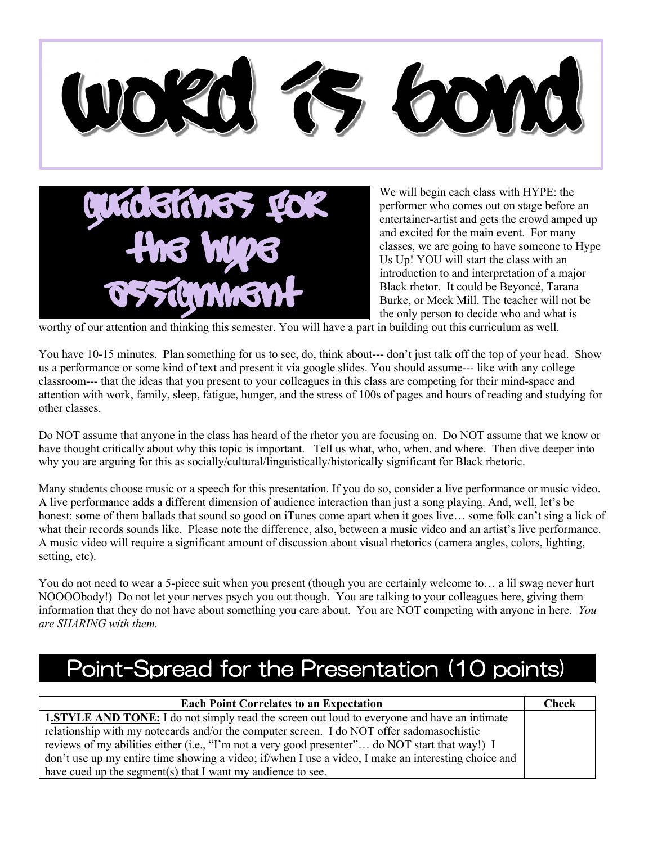

worthy of our attention and thinking this semester. You will have a part in building out this curriculum as well.

You have 10-15 minutes. Plan something for us to see, do, think about--- don't just talk off the top of your head. Show us a performance or some kind of text and present it via google slides. You should assume--- like with any college classroom--- that the ideas that you present to your colleagues in this class are competing for their mind-space and attention with work, family, sleep, fatigue, hunger, and the stress of 100s of pages and hours of reading and studying for other classes.

Do NOT assume that anyone in the class has heard of the rhetor you are focusing on. Do NOT assume that we know or have thought critically about why this topic is important. Tell us what, who, when, and where. Then dive deeper into why you are arguing for this as socially/cultural/linguistically/historically significant for Black rhetoric.

Many students choose music or a speech for this presentation. If you do so, consider a live performance or music video. A live performance adds a different dimension of audience interaction than just a song playing. And, well, let's be honest: some of them ballads that sound so good on iTunes come apart when it goes live... some folk can't sing a lick of what their records sounds like. Please note the difference, also, between a music video and an artist's live performance. A music video will require a significant amount of discussion about visual rhetorics (camera angles, colors, lighting, setting, etc).

You do not need to wear a 5-piece suit when you present (though you are certainly welcome to... a lil swag never hurt NOOOObody!) Do not let your nerves psych you out though. You are talking to your colleagues here, giving them information that they do not have about something you care about. You are NOT competing with anyone in here. *You are SHARING with them.*

## Point-Spread for the Presentation (10 points)

| <b>Each Point Correlates to an Expectation</b>                                                       | <b>Check</b> |
|------------------------------------------------------------------------------------------------------|--------------|
| <b>1.STYLE AND TONE:</b> I do not simply read the screen out loud to everyone and have an intimate   |              |
| relationship with my notecards and/or the computer screen. I do NOT offer sadomasochistic            |              |
| reviews of my abilities either (i.e., "I'm not a very good presenter" do NOT start that way!) I      |              |
| don't use up my entire time showing a video; if/when I use a video, I make an interesting choice and |              |
| have cued up the segment(s) that I want my audience to see.                                          |              |